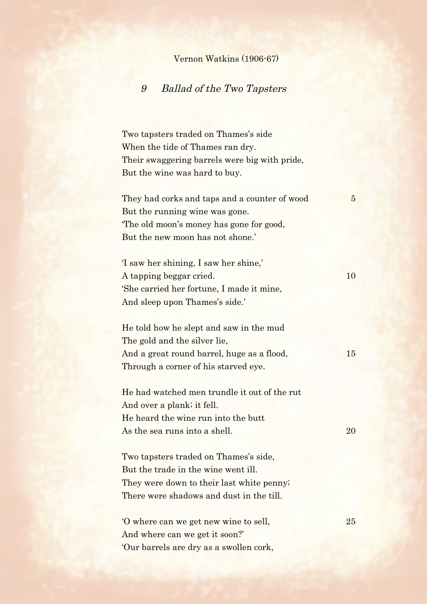## Vernon Watkins (1906-67)

## 9 Ballad of the Two Tapsters

Two tapsters traded on Thames's side When the tide of Thames ran dry. Their swaggering barrels were big with pride, But the wine was hard to buy.

They had corks and taps and a counter of wood 5 But the running wine was gone. 'The old moon's money has gone for good, But the new moon has not shone.'

'I saw her shining, I saw her shine,' A tapping beggar cried. 10 'She carried her fortune, I made it mine, And sleep upon Thames's side.'

He told how he slept and saw in the mud The gold and the silver lie, And a great round barrel, huge as a flood, 15 Through a corner of his starved eye.

He had watched men trundle it out of the rut And over a plank; it fell. He heard the wine run into the butt As the sea runs into a shell. 20

Two tapsters traded on Thames's side, But the trade in the wine went ill. They were down to their last white penny; There were shadows and dust in the till.

'O where can we get new wine to sell, 25 And where can we get it soon?' 'Our barrels are dry as a swollen cork,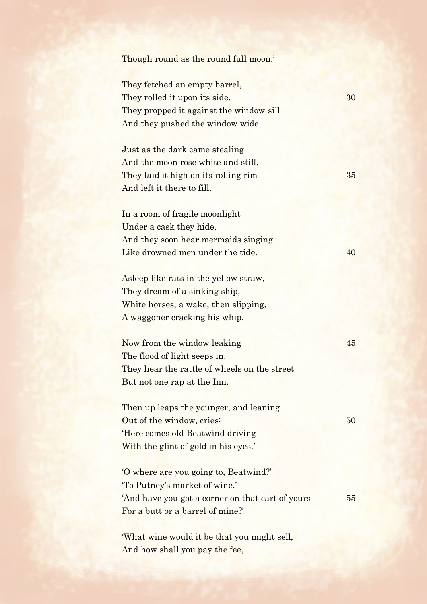| Though round as the round full moon.'            |    |
|--------------------------------------------------|----|
|                                                  |    |
| They fetched an empty barrel,                    |    |
| They rolled it upon its side.                    | 30 |
| They propped it against the window-sill          |    |
| And they pushed the window wide.                 |    |
| Just as the dark came stealing                   |    |
| And the moon rose white and still,               |    |
| They laid it high on its rolling rim             | 35 |
| And left it there to fill.                       |    |
| In a room of fragile moonlight                   |    |
| Under a cask they hide,                          |    |
| And they soon hear mermaids singing              |    |
| Like drowned men under the tide.                 | 40 |
| Asleep like rats in the yellow straw,            |    |
| They dream of a sinking ship,                    |    |
| White horses, a wake, then slipping,             |    |
| A waggoner cracking his whip.                    |    |
| Now from the window leaking                      | 45 |
| The flood of light seeps in.                     |    |
| They hear the rattle of wheels on the street     |    |
| But not one rap at the Inn.                      |    |
| Then up leaps the younger, and leaning           |    |
| Out of the window, cries:                        | 50 |
| Here comes old Beatwind driving                  |    |
| With the glint of gold in his eyes.'             |    |
| 'O where are you going to, Beatwind?'            |    |
| "To Putney's market of wine."                    |    |
| 'And have you got a corner on that cart of yours | 55 |
| For a butt or a barrel of mine?'                 |    |
| 'What wine would it be that you might sell,      |    |
| And how shall you pay the fee,                   |    |